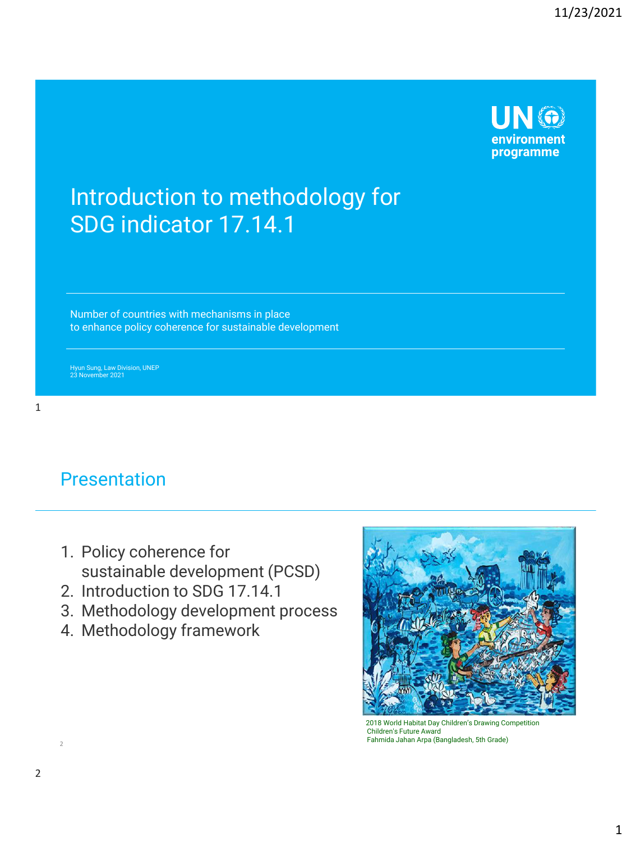

# Introduction to methodology for SDG indicator 17.14.1

Number of countries with mechanisms in place to enhance policy coherence for sustainable development

Hyun Sung, Law Division, UNEP 23 November 2021

#### Presentation

- 1. Policy coherence for sustainable development (PCSD)
- 2. Introduction to SDG 17.14.1
- 3. Methodology development process
- 4. Methodology framework



<sup>2018</sup> World Habitat Day Children's Drawing Competition Children's Future Award Fahmida Jahan Arpa (Bangladesh, 5th Grade) <sup>2</sup>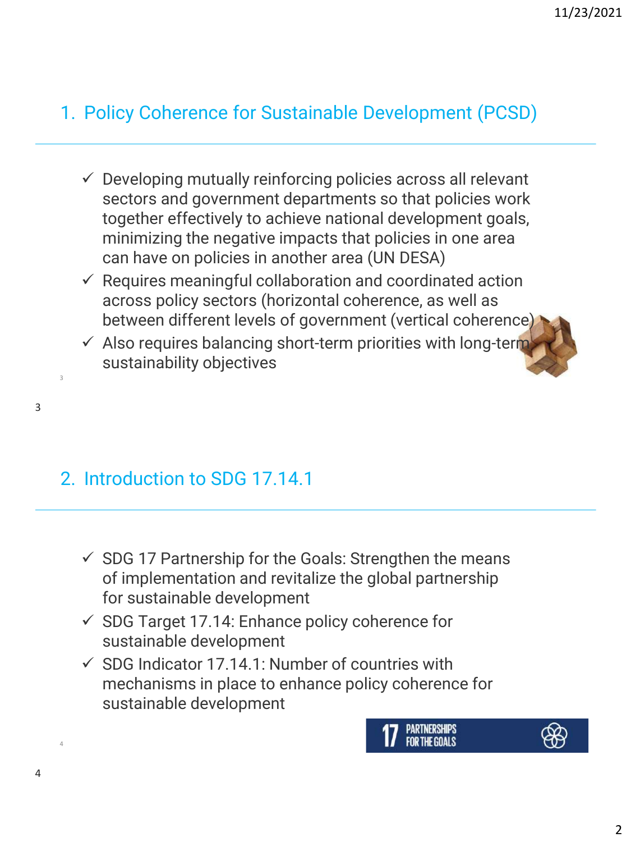### 1. Policy Coherence for Sustainable Development (PCSD)

- $\checkmark$  Developing mutually reinforcing policies across all relevant sectors and government departments so that policies work together effectively to achieve national development goals, minimizing the negative impacts that policies in one area can have on policies in another area (UN DESA)
- $\checkmark$  Requires meaningful collaboration and coordinated action across policy sectors (horizontal coherence, as well as between different levels of government (vertical coherence)
- $\checkmark$  Also requires balancing short-term priorities with long-term sustainability objectives

#### 2. Introduction to SDG 17.14.1

- $\checkmark$  SDG 17 Partnership for the Goals: Strengthen the means of implementation and revitalize the global partnership for sustainable development
- $\checkmark$  SDG Target 17.14: Enhance policy coherence for sustainable development
- $\checkmark$  SDG Indicator 17.14.1: Number of countries with mechanisms in place to enhance policy coherence for sustainable development



4

3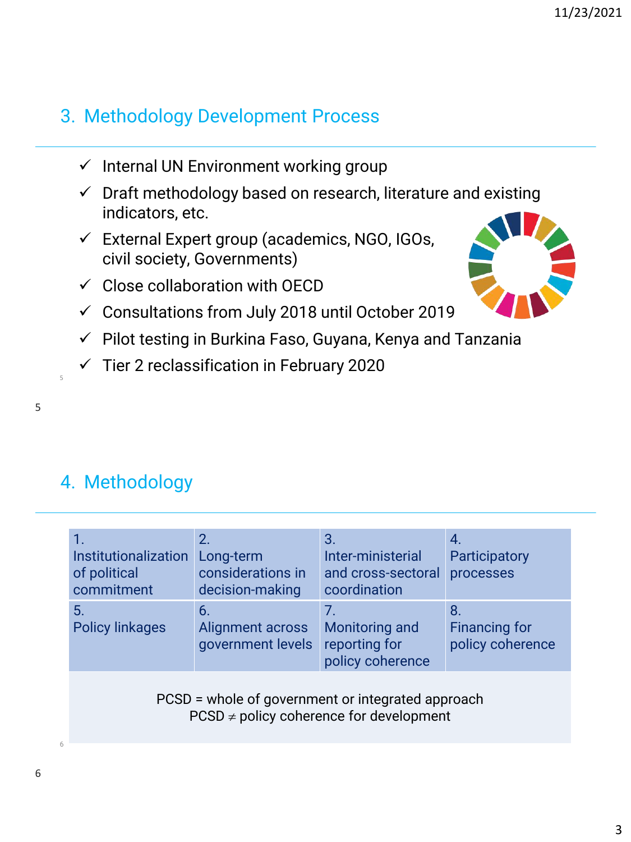# 3. Methodology Development Process

- $\checkmark$  Internal UN Environment working group
- $\checkmark$  Draft methodology based on research, literature and existing indicators, etc.
- ✓ External Expert group (academics, NGO, IGOs, civil society, Governments)
- $\checkmark$  Close collaboration with OECD
- $\checkmark$  Consultations from July 2018 until October 2019
- ✓ Pilot testing in Burkina Faso, Guyana, Kenya and Tanzania
- ✓ Tier 2 reclassification in February 2020



#### 5

5

# 4. Methodology

| Institutionalization<br>of political<br>commitment | 2.<br>Long-term<br>considerations in<br>decision-making | 3.<br>Inter-ministerial<br>and cross-sectoral<br>coordination                                     | 4.<br>Participatory<br>processes               |
|----------------------------------------------------|---------------------------------------------------------|---------------------------------------------------------------------------------------------------|------------------------------------------------|
| 5.<br><b>Policy linkages</b>                       | 6.<br>Alignment across<br>government levels             | 7.<br>Monitoring and<br>reporting for<br>policy coherence                                         | 8.<br><b>Financing for</b><br>policy coherence |
|                                                    |                                                         | PCSD = whole of government or integrated approach<br>$PCSD \neq policy$ coherence for development |                                                |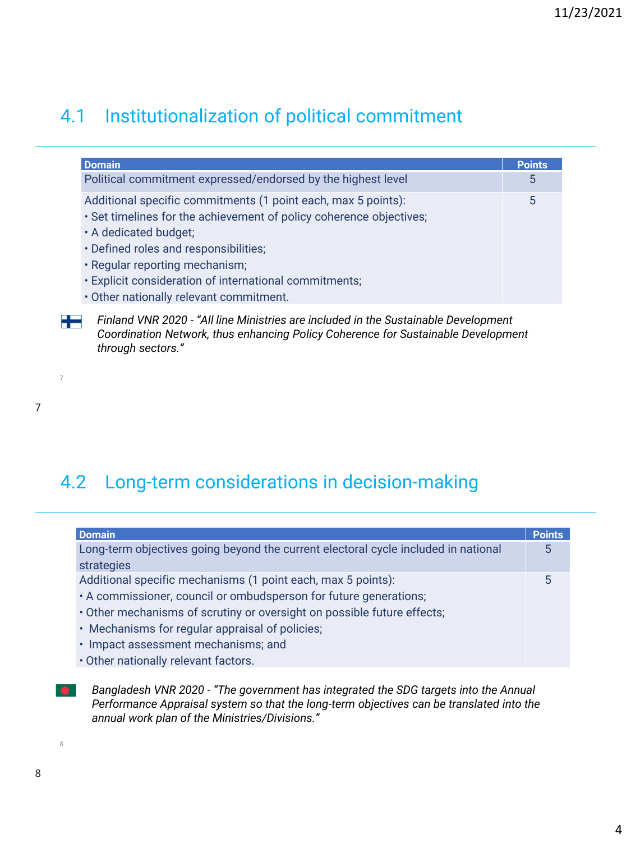# 4.1 Institutionalization of political commitment

| <b>Domain</b>                                                       | <b>Points</b> |
|---------------------------------------------------------------------|---------------|
| Political commitment expressed/endorsed by the highest level        | 5             |
| Additional specific commitments (1 point each, max 5 points):       | 5             |
| . Set timelines for the achievement of policy coherence objectives; |               |
| • A dedicated budget;                                               |               |
| · Defined roles and responsibilities;                               |               |
| · Regular reporting mechanism;                                      |               |
| · Explicit consideration of international commitments;              |               |
| • Other nationally relevant commitment.                             |               |

22 *Finland VNR 2020 - "All line Ministries are included in the Sustainable Development Coordination Network, thus enhancing Policy Coherence for Sustainable Development through sectors."*

7

7

# 4.2 Long-term considerations in decision-making

| <b>Domain</b>                                                                      | <b>Points</b> |
|------------------------------------------------------------------------------------|---------------|
| Long-term objectives going beyond the current electoral cycle included in national | 5             |
| strategies                                                                         |               |
| Additional specific mechanisms (1 point each, max 5 points):                       | 5             |
| • A commissioner, council or ombudsperson for future generations;                  |               |
| . Other mechanisms of scrutiny or oversight on possible future effects;            |               |
| • Mechanisms for regular appraisal of policies;                                    |               |
| · Impact assessment mechanisms; and                                                |               |
| • Other nationally relevant factors.                                               |               |

*Bangladesh VNR 2020 - "The government has integrated the SDG targets into the Annual*   $\bullet$ *Performance Appraisal system so that the long-term objectives can be translated into the annual work plan of the Ministries/Divisions."*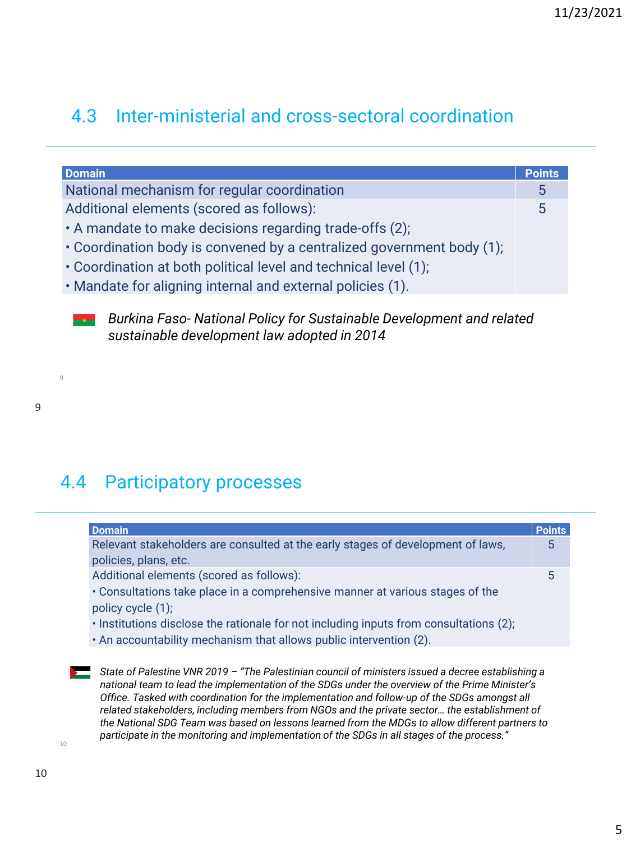#### 4.3 Inter-ministerial and cross-sectoral coordination

| <b>Points</b> |
|---------------|
| 5             |
| 5             |
|               |
|               |
|               |
|               |
|               |

*Burkina Faso- National Policy for Sustainable Development and related sustainable development law adopted in 2014*

9

9

# 4.4 Participatory processes

| <b>Domain</b>                                                                          | <b>Points</b> |
|----------------------------------------------------------------------------------------|---------------|
| Relevant stakeholders are consulted at the early stages of development of laws,        | 5             |
| policies, plans, etc.                                                                  |               |
| Additional elements (scored as follows):                                               | 5             |
| • Consultations take place in a comprehensive manner at various stages of the          |               |
| policy cycle (1);                                                                      |               |
| · Institutions disclose the rationale for not including inputs from consultations (2); |               |
| . An accountability mechanism that allows public intervention (2).                     |               |

*State of Palestine VNR 2019 – "The Palestinian council of ministers issued a decree establishing a national team to lead the implementation of the SDGs under the overview of the Prime Minister's Office. Tasked with coordination for the implementation and follow-up of the SDGs amongst all related stakeholders, including members from NGOs and the private sector… the establishment of the National SDG Team was based on lessons learned from the MDGs to allow different partners to participate in the monitoring and implementation of the SDGs in all stages of the process."*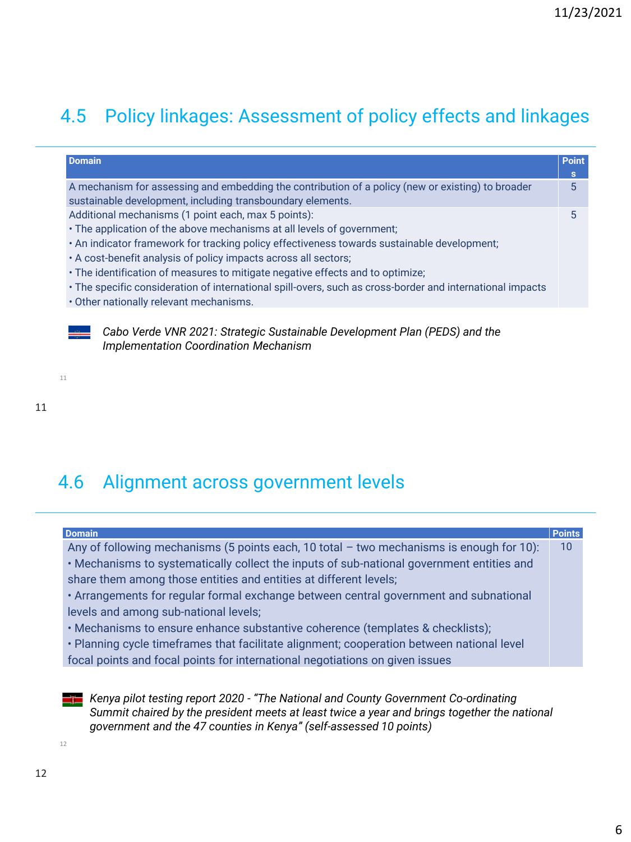# 4.5 Policy linkages: Assessment of policy effects and linkages

| <b>Domain</b>                                                                                             | <b>Point</b> |
|-----------------------------------------------------------------------------------------------------------|--------------|
|                                                                                                           | s            |
| A mechanism for assessing and embedding the contribution of a policy (new or existing) to broader         | 5            |
| sustainable development, including transboundary elements.                                                |              |
| Additional mechanisms (1 point each, max 5 points):                                                       | 5            |
| . The application of the above mechanisms at all levels of government;                                    |              |
| . An indicator framework for tracking policy effectiveness towards sustainable development;               |              |
| . A cost-benefit analysis of policy impacts across all sectors;                                           |              |
| • The identification of measures to mitigate negative effects and to optimize;                            |              |
| • The specific consideration of international spill-overs, such as cross-border and international impacts |              |
| . Other nationally relevant mechanisms.                                                                   |              |

*Cabo Verde VNR 2021: Strategic Sustainable Development Plan (PEDS) and the Implementation Coordination Mechanism* 

11

11

#### 4.6 Alignment across government levels

| <b>Domain</b>                                                                              | <b>Points</b> |
|--------------------------------------------------------------------------------------------|---------------|
| Any of following mechanisms (5 points each, 10 total $-$ two mechanisms is enough for 10): | 10            |
| • Mechanisms to systematically collect the inputs of sub-national government entities and  |               |
| share them among those entities and entities at different levels;                          |               |
| • Arrangements for regular formal exchange between central government and subnational      |               |
| levels and among sub-national levels;                                                      |               |
| • Mechanisms to ensure enhance substantive coherence (templates & checklists);             |               |
| · Planning cycle timeframes that facilitate alignment; cooperation between national level  |               |
| focal points and focal points for international negotiations on given issues               |               |

*Kenya pilot testing report 2020 - "The National and County Government Co-ordinating Summit chaired by the president meets at least twice a year and brings together the national government and the 47 counties in Kenya" (self-assessed 10 points)*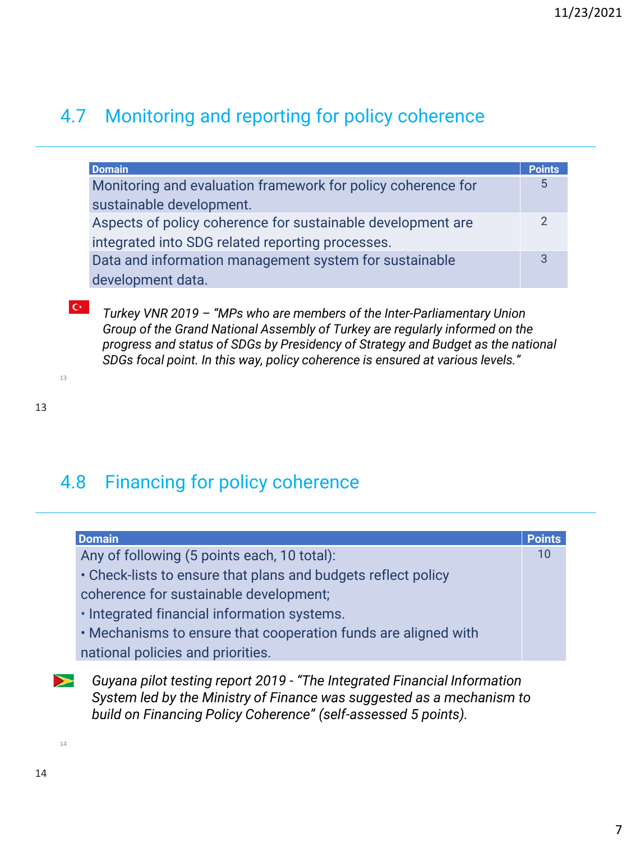# 4.7 Monitoring and reporting for policy coherence

| <b>Domain</b>                                                | <b>Points</b> |
|--------------------------------------------------------------|---------------|
| Monitoring and evaluation framework for policy coherence for | 5             |
| sustainable development.                                     |               |
| Aspects of policy coherence for sustainable development are  | $\mathcal{P}$ |
| integrated into SDG related reporting processes.             |               |
| Data and information management system for sustainable       | 3             |
| development data.                                            |               |

*Turkey VNR 2019 – "MPs who are members of the Inter-Parliamentary Union Group of the Grand National Assembly of Turkey are regularly informed on the progress and status of SDGs by Presidency of Strategy and Budget as the national SDGs focal point. In this way, policy coherence is ensured at various levels."*

13

13

 $C^*$ 

# 4.8 Financing for policy coherence

| <b>Domain</b>                                                  | <b>Points</b> |
|----------------------------------------------------------------|---------------|
| Any of following (5 points each, 10 total):                    |               |
| • Check-lists to ensure that plans and budgets reflect policy  |               |
| coherence for sustainable development;                         |               |
| · Integrated financial information systems.                    |               |
| . Mechanisms to ensure that cooperation funds are aligned with |               |
| national policies and priorities.                              |               |

*Guyana pilot testing report 2019 - "The Integrated Financial Information*   $\blacktriangleright$ *System led by the Ministry of Finance was suggested as a mechanism to build on Financing Policy Coherence" (self-assessed 5 points).*